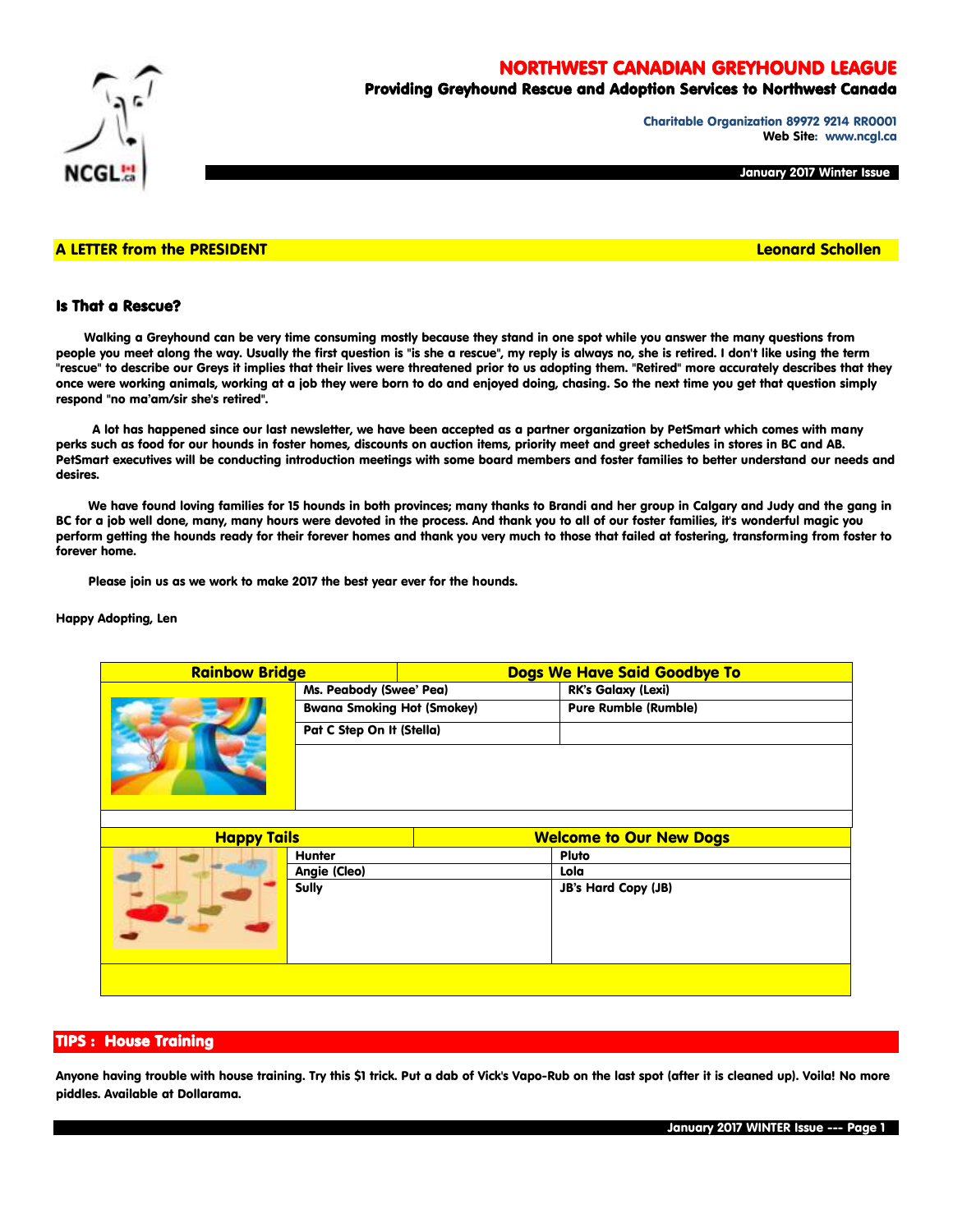# NORTHWEST CANADIAN GREYHOUND LEAGUE



# Providing Greyhound Rescue and Adoption Services to Northwest Canada

Charitable Organization 89972 9214 RR0001 Web Site: www.ncgl.ca

January 2017 Winter Issue

### A LETTER from the PRESIDENT And the Control of the Control of the Control of the Control of the Control of the Control of the Control of the Control of the Control of the Control of the Control of the Control of the Contro

## Is That a Rescue?

 Walking a Greyhound can be very time consuming mostly because they stand in one spot while you answer the many questions from people you meet along the way. Usually the first question is "is she a rescue", my reply is always no, she is retired. I don't like using the term "rescue" to describe our Greys it implies that their lives were threatened prior to us adopting them. "Retired" more accurately describes that they once were working animals, working at a job they were born to do and enjoyed doing, chasing. So the next time you get that question simply respond "no ma'am/sir she's retired".

 A lot has happened since our last newsletter, we have been accepted as a partner organization by PetSmart which comes with many perks such as food for our hounds in foster homes, discounts on auction items, priority meet and greet schedules in stores in BC and AB. PetSmart executives will be conducting introduction meetings with some board members and foster families to better understand our needs and desires.

 We have found loving families for 15 hounds in both provinces; many thanks to Brandi and her group in Calgary and Judy and the gang in BC for a job well done, many, many hours were devoted in the process. And thank you to all of our foster families, it's wonderful magic you perform getting the hounds ready for their forever homes and thank you very much to those that failed at fostering, transforming from foster to forever home.

Please join us as we work to make 2017 the best year ever for the hounds.

#### Happy Adopting, Len

| <b>Rainbow Bridge</b> |                                   | Dogs We Have Said Goodbye To   |                             |  |  |
|-----------------------|-----------------------------------|--------------------------------|-----------------------------|--|--|
|                       | Ms. Peabody (Swee' Pea)           |                                | <b>RK's Galaxy (Lexi)</b>   |  |  |
|                       | <b>Bwana Smoking Hot (Smokey)</b> |                                | <b>Pure Rumble (Rumble)</b> |  |  |
|                       | Pat C Step On It (Stella)         |                                |                             |  |  |
|                       |                                   |                                |                             |  |  |
|                       |                                   |                                |                             |  |  |
| <b>Happy Tails</b>    |                                   | <b>Welcome to Our New Dogs</b> |                             |  |  |
|                       | <b>Hunter</b>                     |                                | Pluto                       |  |  |
|                       | Angie (Cleo)                      |                                | Lola                        |  |  |
|                       | <b>Sully</b>                      |                                | <b>JB's Hard Copy (JB)</b>  |  |  |
|                       |                                   |                                |                             |  |  |

## TIPS : House Training

Anyone having trouble with house training. Try this \$1 trick. Put a dab of Vick's Vapo-Rub on the last spot (after it is cleaned up). Voila! No more piddles. Available at Dollarama.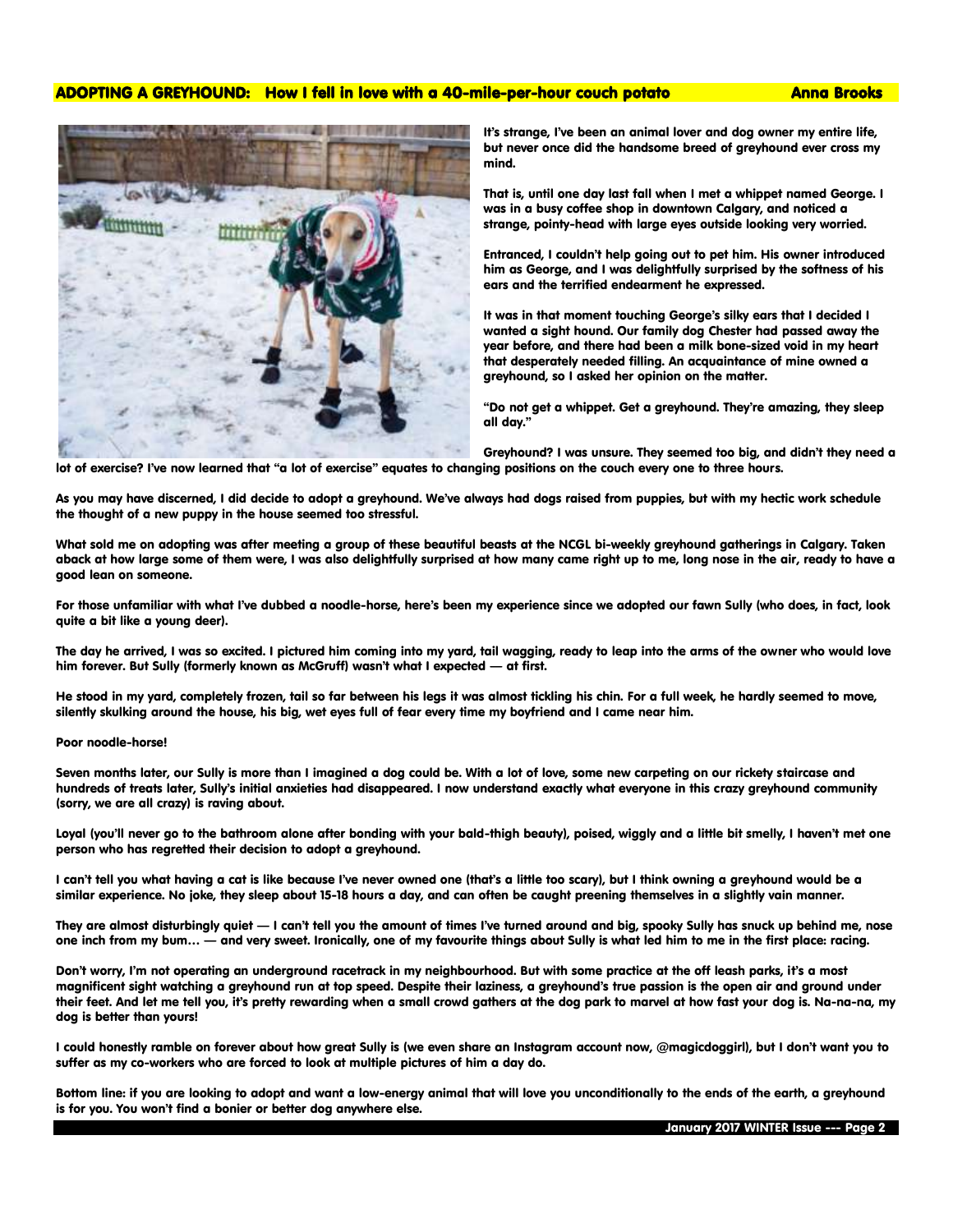# ADOPTING A GREYHOUND: How I fell in love with a 40-mile-per-hour couch potato Anna Brooks



It's strange, I've been an animal lover and dog owner my entire life, but never once did the handsome breed of greyhound ever cross my mind.

That is, until one day last fall when I met a whippet named George. I was in a busy coffee shop in downtown Calgary, and noticed a strange, pointy-head with large eyes outside looking very worried.

Entranced, I couldn't help going out to pet him. His owner introduced him as George, and I was delightfully surprised by the softness of his ears and the terrified endearment he expressed.

It was in that moment touching George's silky ears that I decided I wanted a sight hound. Our family dog Chester had passed away the year before, and there had been a milk bone-sized void in my heart that desperately needed filling. An acquaintance of mine owned a greyhound, so I asked her opinion on the matter.

"Do not get a whippet. Get a greyhound. They're amazing, they sleep all day."

Greyhound? I was unsure. They seemed too big, and didn't they need a lot of exercise? I've now learned that "a lot of exercise" equates to changing positions on the couch every one to three hours.

As you may have discerned, I did decide to adopt a greyhound. We've always had dogs raised from puppies, but with my hectic work schedule the thought of a new puppy in the house seemed too stressful.

What sold me on adopting was after meeting a group of these beautiful beasts at the NCGL bi-weekly greyhound gatherings in Calgary. Taken aback at how large some of them were, I was also delightfully surprised at how many came right up to me, long nose in the air, ready to have a good lean on someone.

For those unfamiliar with what I've dubbed a noodle-horse, here's been my experience since we adopted our fawn Sully (who does, in fact, look quite a bit like a young deer).

The day he arrived, I was so excited. I pictured him coming into my yard, tail wagging, ready to leap into the arms of the owner who would love him forever. But Sully (formerly known as McGruff) wasn't what I expected — at first.

He stood in my yard, completely frozen, tail so far between his legs it was almost tickling his chin. For a full week, he hardly seemed to move, silently skulking around the house, his big, wet eyes full of fear every time my boyfriend and I came near him.

#### Poor noodle-horse!

Seven months later, our Sully is more than I imagined a dog could be. With a lot of love, some new carpeting on our rickety staircase and hundreds of treats later, Sully's initial anxieties had disappeared. I now understand exactly what everyone in this crazy greyhound community (sorry, we are all crazy) is raving about.

Loyal (you'll never go to the bathroom alone after bonding with your bald-thigh beauty), poised, wiggly and a little bit smelly, I haven't met one person who has regretted their decision to adopt a greyhound.

I can't tell you what having a cat is like because I've never owned one (that's a little too scary), but I think owning a greyhound would be a similar experience. No joke, they sleep about 15-18 hours a day, and can often be caught preening themselves in a slightly vain manner.

They are almost disturbingly quiet — I can't tell you the amount of times I've turned around and big, spooky Sully has snuck up behind me, nose one inch from my bum… — and very sweet. Ironically, one of my favourite things about Sully is what led him to me in the first place: racing.

Don't worry, I'm not operating an underground racetrack in my neighbourhood. But with some practice at the off leash parks, it's a most magnificent sight watching a greyhound run at top speed. Despite their laziness, a greyhound's true passion is the open air and ground under their feet. And let me tell you, it's pretty rewarding when a small crowd gathers at the dog park to marvel at how fast your dog is. Na-na-na, my dog is better than yours!

I could honestly ramble on forever about how great Sully is (we even share an Instagram account now, @magicdoggirl), but I don't want you to suffer as my co-workers who are forced to look at multiple pictures of him a day do.

Bottom line: if you are looking to adopt and want a low-energy animal that will love you unconditionally to the ends of the earth, a greyhound is for you. You won't find a bonier or better dog anywhere else.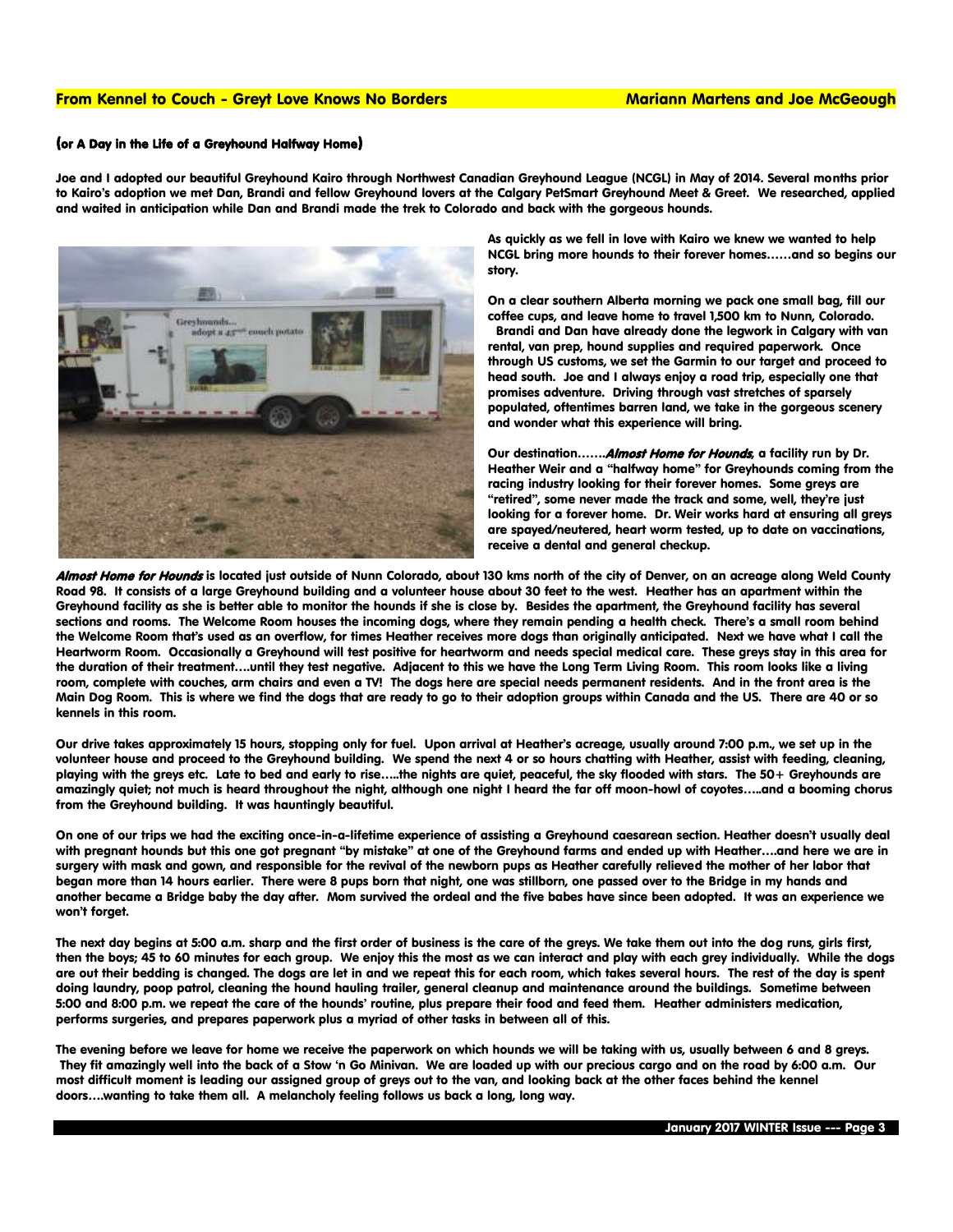#### From Kennel to Couch - Greyt Love Knows No Borders Mariann Martens and Joe McGeough

#### (or A Day in the Life of a Greyhound Halfway Home)

Joe and I adopted our beautiful Greyhound Kairo through Northwest Canadian Greyhound League (NCGL) in May of 2014. Several months prior to Kairo's adoption we met Dan, Brandi and fellow Greyhound lovers at the Calgary PetSmart Greyhound Meet & Greet. We researched, applied and waited in anticipation while Dan and Brandi made the trek to Colorado and back with the gorgeous hounds.



As quickly as we fell in love with Kairo we knew we wanted to help NCGL bring more hounds to their forever homes……and so begins our story.

On a clear southern Alberta morning we pack one small bag, fill our coffee cups, and leave home to travel 1,500 km to Nunn, Colorado. Brandi and Dan have already done the legwork in Calgary with van rental, van prep, hound supplies and required paperwork. Once through US customs, we set the Garmin to our target and proceed to head south. Joe and I always enjoy a road trip, especially one that promises adventure. Driving through vast stretches of sparsely populated, oftentimes barren land, we take in the gorgeous scenery and wonder what this experience will bring.

Our destination....... Almost Home for Hounds, a facility run by Dr. Heather Weir and a "halfway home" for Greyhounds coming from the racing industry looking for their forever homes. Some greys are "retired", some never made the track and some, well, they're just looking for a forever home. Dr. Weir works hard at ensuring all greys are spayed/neutered, heart worm tested, up to date on vaccinations, receive a dental and general checkup.

Almost Home for Hounds is located just outside of Nunn Colorado, about 130 kms north of the city of Denver, on an acreage along Weld County Road 98. It consists of a large Greyhound building and a volunteer house about 30 feet to the west. Heather has an apartment within the Greyhound facility as she is better able to monitor the hounds if she is close by. Besides the apartment, the Greyhound facility has several sections and rooms. The Welcome Room houses the incoming dogs, where they remain pending a health check. There's a small room behind the Welcome Room that's used as an overflow, for times Heather receives more dogs than originally anticipated. Next we have what I call the Heartworm Room. Occasionally a Greyhound will test positive for heartworm and needs special medical care. These greys stay in this area for the duration of their treatment….until they test negative. Adjacent to this we have the Long Term Living Room. This room looks like a living room, complete with couches, arm chairs and even a TV! The dogs here are special needs permanent residents. And in the front area is the Main Dog Room. This is where we find the dogs that are ready to go to their adoption groups within Canada and the US. There are 40 or so kennels in this room.

Our drive takes approximately 15 hours, stopping only for fuel. Upon arrival at Heather's acreage, usually around 7:00 p.m., we set up in the volunteer house and proceed to the Greyhound building. We spend the next 4 or so hours chatting with Heather, assist with feeding, cleaning, playing with the greys etc. Late to bed and early to rise…..the nights are quiet, peaceful, the sky flooded with stars. The 50+ Greyhounds are amazingly quiet; not much is heard throughout the night, although one night I heard the far off moon-howl of coyotes…..and a booming chorus from the Greyhound building. It was hauntingly beautiful.

On one of our trips we had the exciting once-in-a-lifetime experience of assisting a Greyhound caesarean section. Heather doesn't usually deal with pregnant hounds but this one got pregnant "by mistake" at one of the Greyhound farms and ended up with Heather….and here we are in surgery with mask and gown, and responsible for the revival of the newborn pups as Heather carefully relieved the mother of her labor that began more than 14 hours earlier. There were 8 pups born that night, one was stillborn, one passed over to the Bridge in my hands and another became a Bridge baby the day after. Mom survived the ordeal and the five babes have since been adopted. It was an experience we won't forget.

The next day begins at 5:00 a.m. sharp and the first order of business is the care of the greys. We take them out into the dog runs, girls first, then the boys; 45 to 60 minutes for each group. We enjoy this the most as we can interact and play with each grey individually. While the dogs are out their bedding is changed. The dogs are let in and we repeat this for each room, which takes several hours. The rest of the day is spent doing laundry, poop patrol, cleaning the hound hauling trailer, general cleanup and maintenance around the buildings. Sometime between 5:00 and 8:00 p.m. we repeat the care of the hounds' routine, plus prepare their food and feed them. Heather administers medication, performs surgeries, and prepares paperwork plus a myriad of other tasks in between all of this.

The evening before we leave for home we receive the paperwork on which hounds we will be taking with us, usually between 6 and 8 greys. They fit amazingly well into the back of a Stow 'n Go Minivan. We are loaded up with our precious cargo and on the road by 6:00 a.m. Our most difficult moment is leading our assigned group of greys out to the van, and looking back at the other faces behind the kennel doors….wanting to take them all. A melancholy feeling follows us back a long, long way.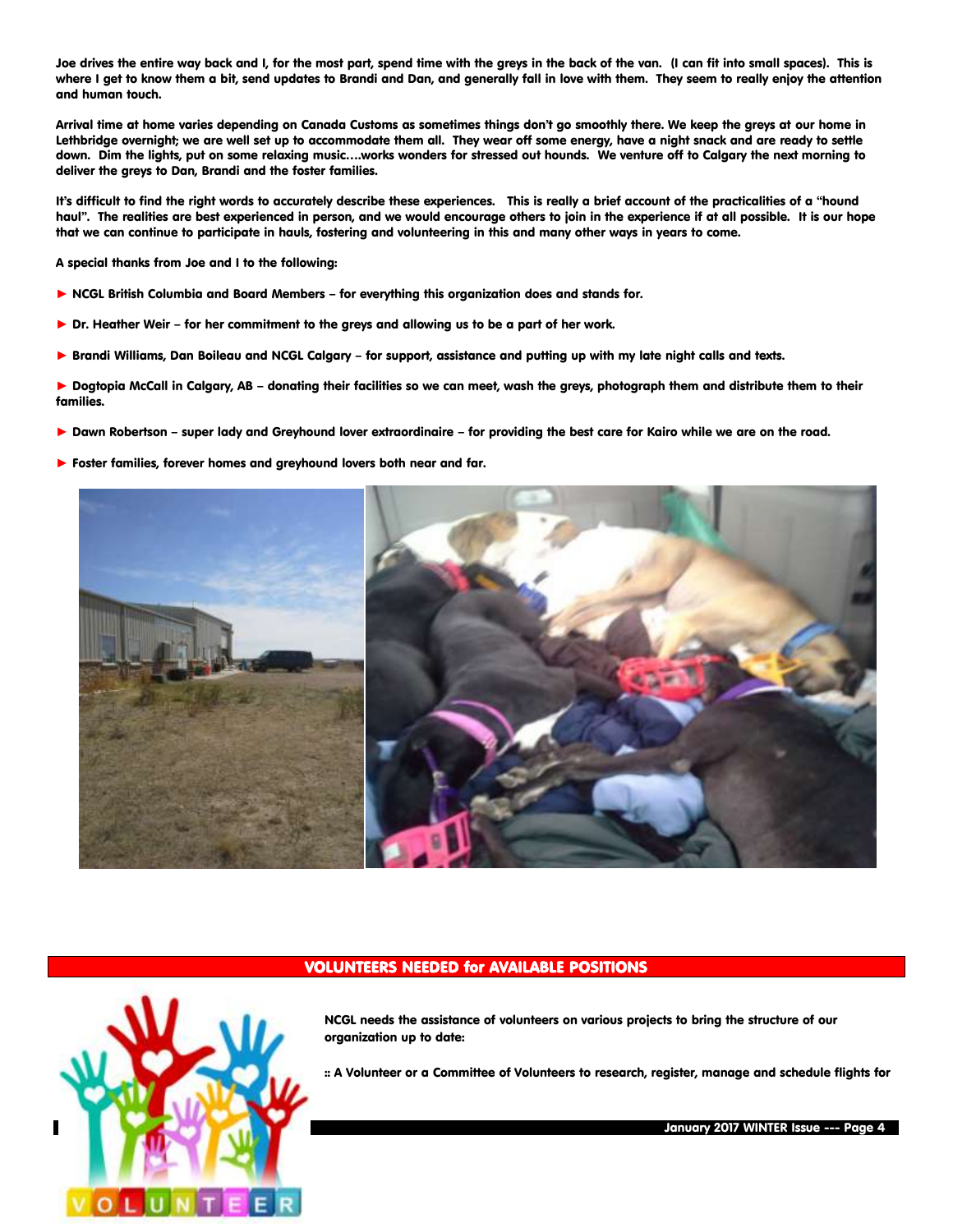Joe drives the entire way back and I, for the most part, spend time with the greys in the back of the van. (I can fit into small spaces). This is where I get to know them a bit, send updates to Brandi and Dan, and generally fall in love with them. They seem to really enjoy the attention and human touch.

Arrival time at home varies depending on Canada Customs as sometimes things don't go smoothly there. We keep the greys at our home in Lethbridge overnight; we are well set up to accommodate them all. They wear off some energy, have a night snack and are ready to settle down. Dim the lights, put on some relaxing music….works wonders for stressed out hounds. We venture off to Calgary the next morning to deliver the greys to Dan, Brandi and the foster families.

It's difficult to find the right words to accurately describe these experiences. This is really a brief account of the practicalities of a "hound haul". The realities are best experienced in person, and we would encourage others to join in the experience if at all possible. It is our hope that we can continue to participate in hauls, fostering and volunteering in this and many other ways in years to come.

A special thanks from Joe and I to the following:

- ► NCGL British Columbia and Board Members for everything this organization does and stands for.
- ▶ Dr. Heather Weir for her commitment to the greys and allowing us to be a part of her work.
- ► Brandi Williams, Dan Boileau and NCGL Calgary for support, assistance and putting up with my late night calls and texts.

► Dogtopia McCall in Calgary, AB – donating their facilities so we can meet, wash the greys, photograph them and distribute them to their families.

- ▶ Dawn Robertson super lady and Greyhound lover extraordinaire for providina the best care for Kairo while we are on the road.
- ▶ Foster families, forever homes and greyhound lovers both near and far.



# VOLUNTEERS NEEDED for AVAILABLE POSITIONS



NCGL needs the assistance of volunteers on various projects to bring the structure of our organization up to date:

:: A Volunteer or a Committee of Volunteers to research, register, manage and schedule flights for